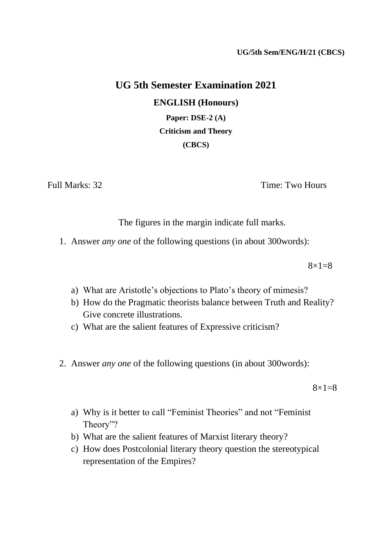# **UG 5th Semester Examination 2021 ENGLISH (Honours) Paper: DSE-2 (A)**

**Criticism and Theory (CBCS)**

Full Marks: 32 Time: Two Hours

The figures in the margin indicate full marks.

1. Answer *any one* of the following questions (in about 300words):

 $8 \times 1 = 8$ 

- a) What are Aristotle's objections to Plato's theory of mimesis?
- b) How do the Pragmatic theorists balance between Truth and Reality? Give concrete illustrations.
- c) What are the salient features of Expressive criticism?
- 2. Answer *any one* of the following questions (in about 300words):

 $8\times1=8$ 

- a) Why is it better to call "Feminist Theories" and not "Feminist Theory"?
- b) What are the salient features of Marxist literary theory?
- c) How does Postcolonial literary theory question the stereotypical representation of the Empires?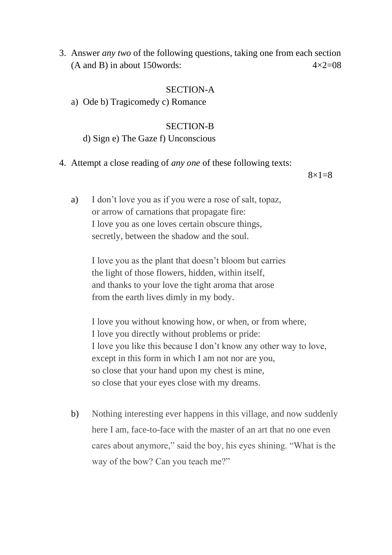3. Answer *any two* of the following questions, taking one from each section (A and B) in about 150 words:  $4 \times 2 = 08$ 

# SECTION-A

a) Ode b) Tragicomedy c) Romance

# SECTION-B

d) Sign e) The Gaze f) Unconscious

4. Attempt a close reading of *any one* of these following texts:

 $8 \times 1 = 8$ 

a) I don't love you as if you were a rose of salt, topaz, or arrow of carnations that propagate fire: I love you as one loves certain obscure things, secretly, between the shadow and the soul.

> I love you as the plant that doesn't bloom but carries the light of those flowers, hidden, within itself, and thanks to your love the tight aroma that arose from the earth lives dimly in my body.

I love you without knowing how, or when, or from where, I love you directly without problems or pride: I love you like this because I don't know any other way to love, except in this form in which I am not nor are you, so close that your hand upon my chest is mine, so close that your eyes close with my dreams.

b) Nothing interesting ever happens in this village, and now suddenly here I am, face-to-face with the master of an art that no one even cares about anymore," said the boy, his eyes shining. "What is the way of the bow? Can you teach me?"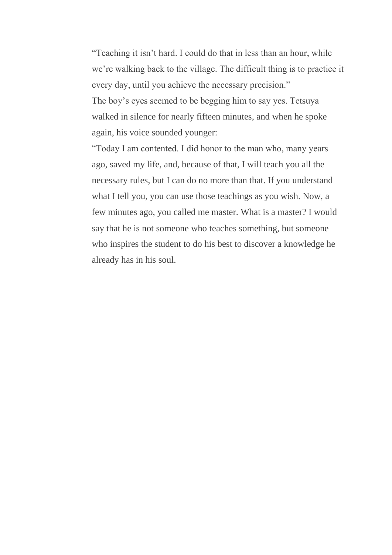"Teaching it isn't hard. I could do that in less than an hour, while we're walking back to the village. The difficult thing is to practice it every day, until you achieve the necessary precision." The boy's eyes seemed to be begging him to say yes. Tetsuya walked in silence for nearly fifteen minutes, and when he spoke again, his voice sounded younger:

"Today I am contented. I did honor to the man who, many years ago, saved my life, and, because of that, I will teach you all the necessary rules, but I can do no more than that. If you understand what I tell you, you can use those teachings as you wish. Now, a few minutes ago, you called me master. What is a master? I would say that he is not someone who teaches something, but someone who inspires the student to do his best to discover a knowledge he already has in his soul.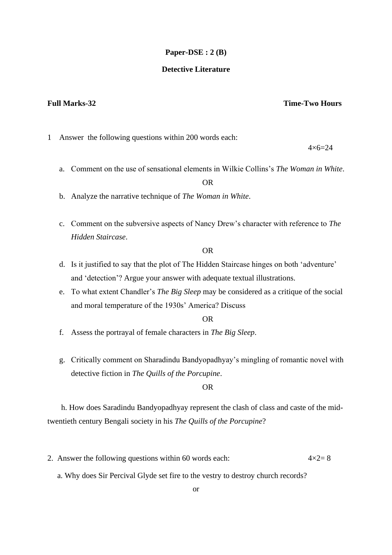#### **Paper-DSE : 2 (B)**

### **Detective Literature**

### **Full Marks-32 Time-Two Hours**

1 Answer the following questions within 200 words each:

 $4 \times 6 = 24$ 

a. Comment on the use of sensational elements in Wilkie Collins's *The Woman in White*.

OR

- b. Analyze the narrative technique of *The Woman in White*.
- c. Comment on the subversive aspects of Nancy Drew's character with reference to *The Hidden Staircase*.

#### OR

- d. Is it justified to say that the plot of The Hidden Staircase hinges on both 'adventure' and 'detection'? Argue your answer with adequate textual illustrations.
- e. To what extent Chandler's *The Big Sleep* may be considered as a critique of the social and moral temperature of the 1930s' America? Discuss

OR

- f. Assess the portrayal of female characters in *The Big Sleep*.
- g. Critically comment on Sharadindu Bandyopadhyay's mingling of romantic novel with detective fiction in *The Quills of the Porcupine*.

OR

 h. How does Saradindu Bandyopadhyay represent the clash of class and caste of the midtwentieth century Bengali society in his *The Quills of the Porcupine*?

- 2. Answer the following questions within 60 words each:  $4 \times 2 = 8$ 
	- a. Why does Sir Percival Glyde set fire to the vestry to destroy church records?